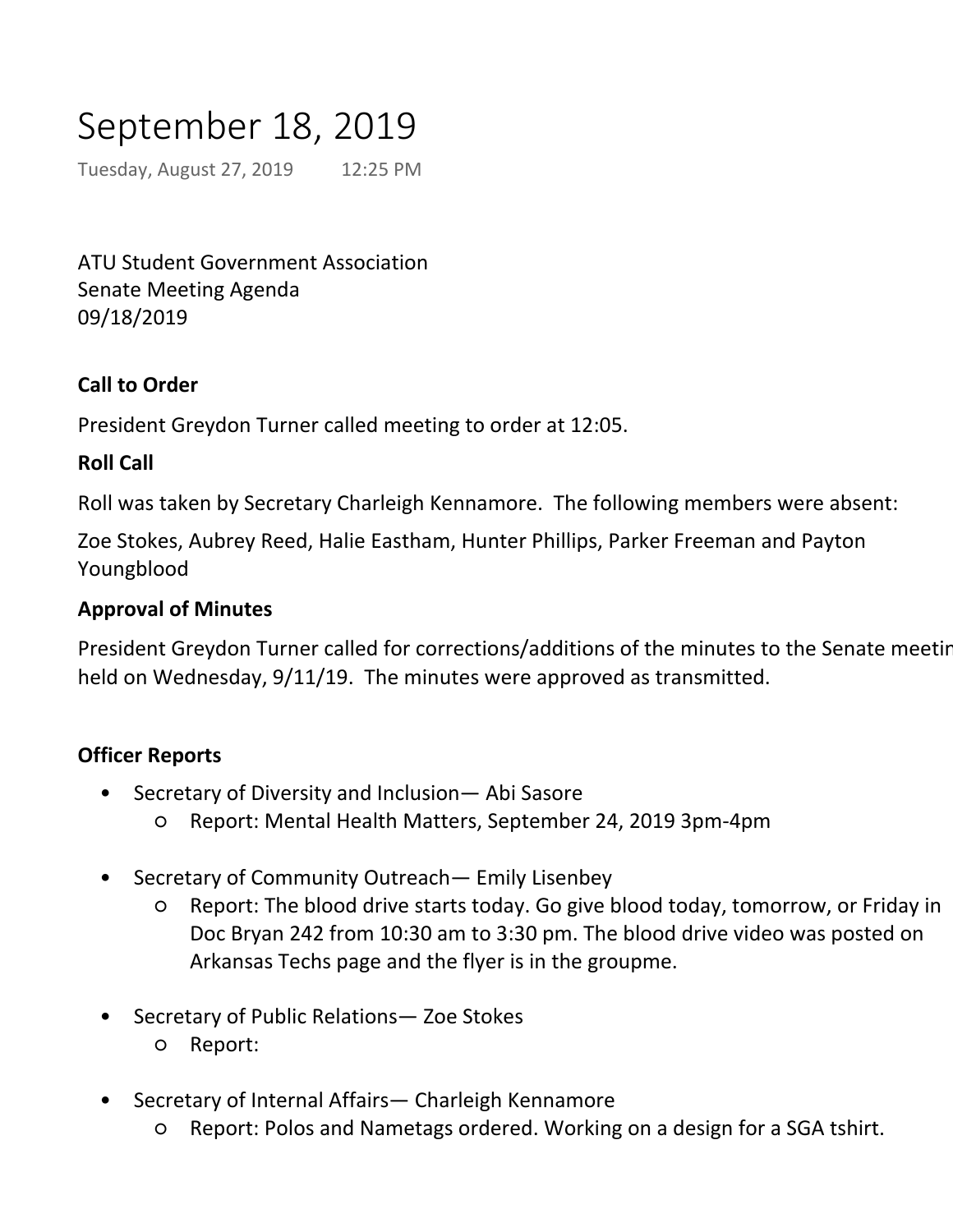# September 18, 2019

Tuesday, August 27, 2019 12:25 PM

ATU Student Government Association Senate Meeting Agenda 09/18/2019

## **Call to Order**

President Greydon Turner called meeting to order at 12:05.

#### **Roll Call**

Roll was taken by Secretary Charleigh Kennamore. The following members were absent:

Zoe Stokes, Aubrey Reed, Halie Eastham, Hunter Phillips, Parker Freeman and Payton Youngblood

#### **Approval of Minutes**

President Greydon Turner called for corrections/additions of the minutes to the Senate meeting held on Wednesday, 9/11/19. The minutes were approved as transmitted.

#### **Officer Reports**

- Secretary of Diversity and Inclusion— Abi Sasore •
	- Report: Mental Health Matters, September 24, 2019 3pm-4pm
- Secretary of Community Outreach— Emily Lisenbey •
	- Report: The blood drive starts today. Go give blood today, tomorrow, or Friday in Doc Bryan 242 from 10:30 am to 3:30 pm. The blood drive video was posted on Arkansas Techs page and the flyer is in the groupme. ○
- Secretary of Public Relations— Zoe Stokes •
	- Report:
- Secretary of Internal Affairs— Charleigh Kennamore •
	- Report: Polos and Nametags ordered. Working on a design for a SGA tshirt.
	- New Senators- Be sure to text me 48 hours before meeting (Monday at 12:00) if you will not be at meeting. You have two unexcused absences, and if you are sick, plea bring a doctor's note to me next meeting. ○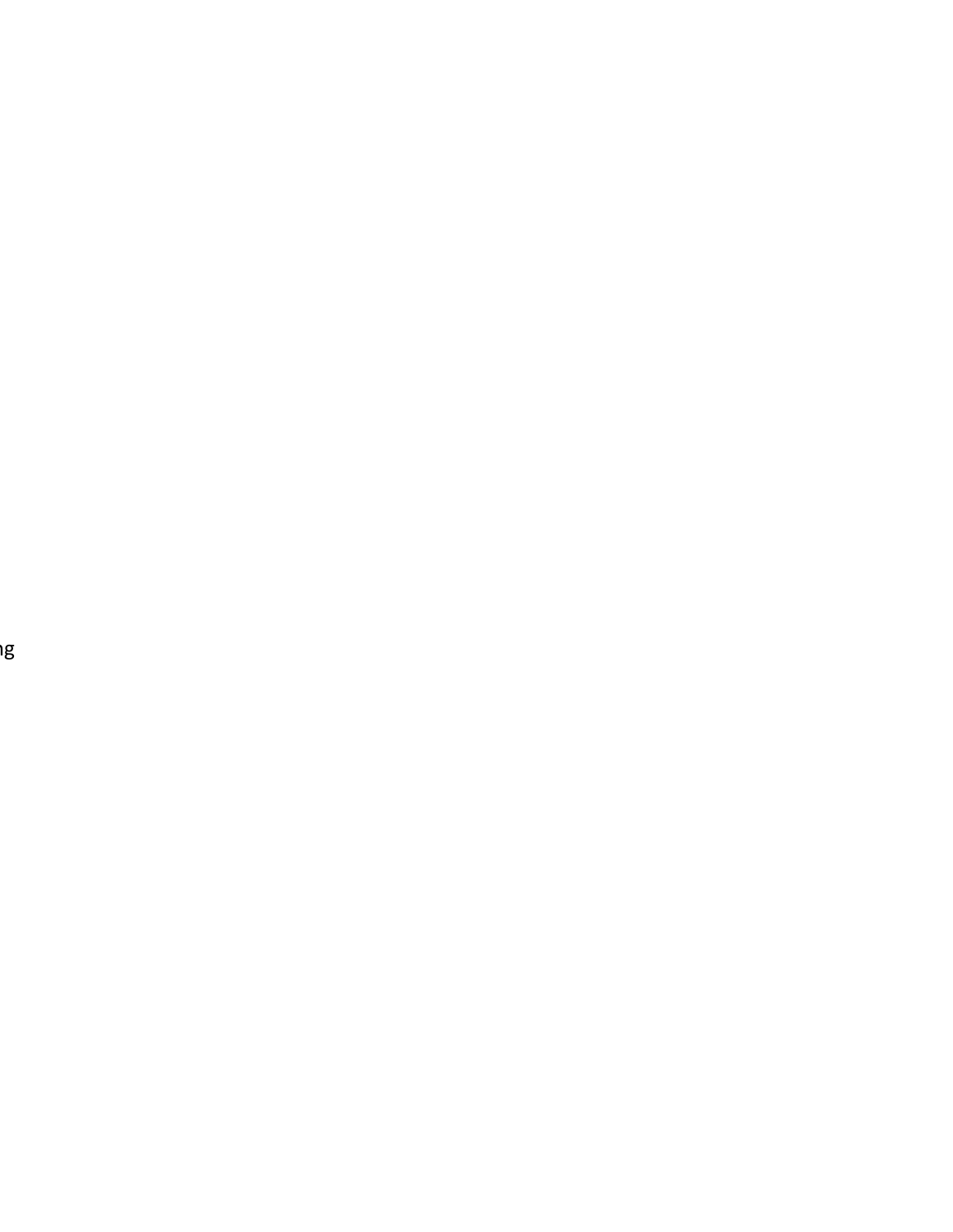ิ<br>วน se

er<br>I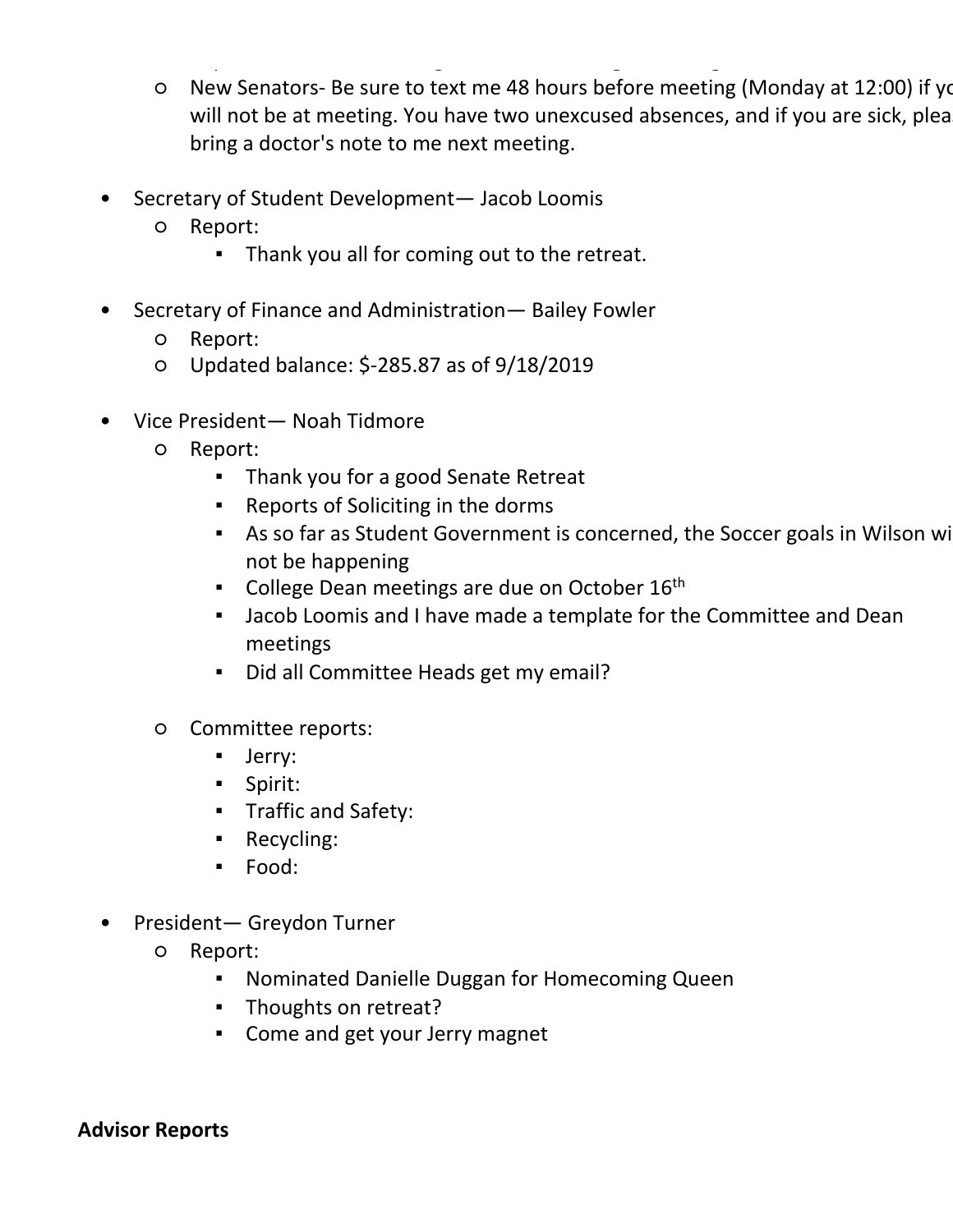- Secretary of Internal Affairs— Charleigh Kennamore •
	- New Senators- Be sure to text me 48 hours before meeting (Monday at 12:00) if you will not be at meeting. You have two unexcused absences, and if you are sick, plea bring a doctor's note to me next meeting.  $\circ$

○ Report: Polos and Nametags ordered. Working on a design for a SGA tshirt.

- Secretary of Student Development— Jacob Loomis •
	- Report: ○
		- Thank you all for coming out to the retreat.
- Secretary of Finance and Administration— Bailey Fowler •
	- Report:
	- Updated balance: \$-285.87 as of 9/18/2019
- Vice President— Noah Tidmore •
	- Report:  $\Omega$ 
		- Thank you for a good Senate Retreat
		- Reports of Soliciting in the dorms
		- **BED As so far as Student Government is concerned, the Soccer goals in Wilson willy** not be happening
		- College Dean meetings are due on October 16<sup>th</sup>
		- **.** Jacob Loomis and I have made a template for the Committee and Dean meetings
		- Did all Committee Heads get my email?
	- Committee reports:  $\circ$ 
		- Jerry:
		- Spirit:
		- Traffic and Safety:
		- Recycling:
		- Food:
- President— Greydon Turner •
	- Report: ○
		- Nominated Danielle Duggan for Homecoming Queen
		- **·** Thoughts on retreat?
		- Come and get your Jerry magnet

## **Advisor Reports**

- Assistant Dean for Campus Life— Aubrey Holt •
	- Report: No report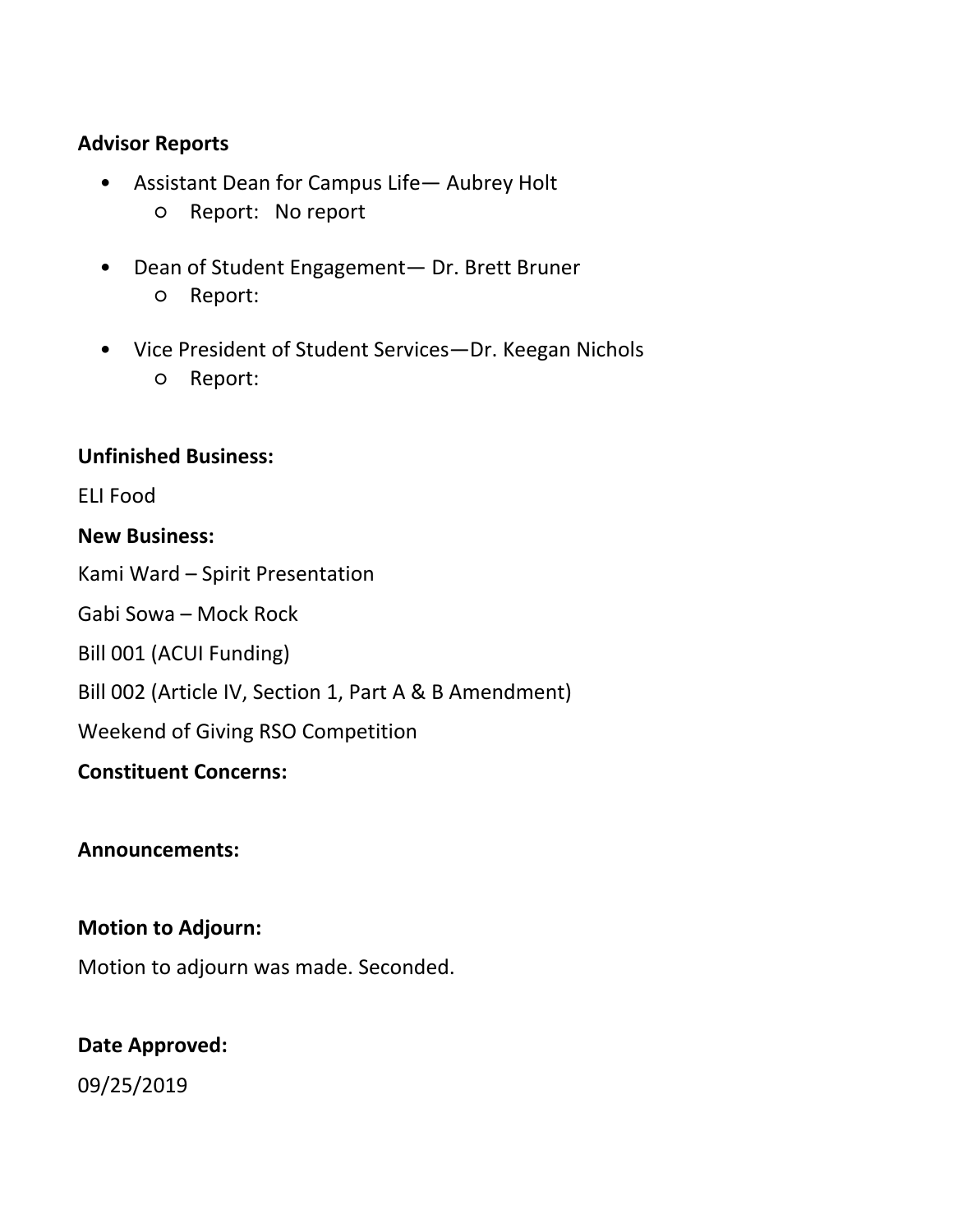- $\mathcal{L}$  . The discrete Duggan for Homecoming  $\mathcal{L}$
- **·** Thoughts on retreat?
- Come and get your Jerry magnet

#### **Advisor Reports**

- Assistant Dean for Campus Life Aubrey Holt ○ Report: No report
- Dean of Student Engagement— Dr. Brett Bruner ○ Report:  $\bullet$
- Vice President of Student Services-Dr. Keegan Nichols ○ Report:

#### **Unfinished Business:**

ELI Food

#### **New Business:**

Kami Ward – Spirit Presentation

Gabi Sowa – Mock Rock

Bill 001 (ACUI Funding)

Bill 002 (Article IV, Section 1, Part A & B Amendment)

Weekend of Giving RSO Competition

## **Constituent Concerns:**

## **Announcements:**

## **Motion to Adjourn:**

Motion to adjourn was made. Seconded.

## **Date Approved:**

09/25/2019

Secretary of Finance and Administration Bailey Fowler